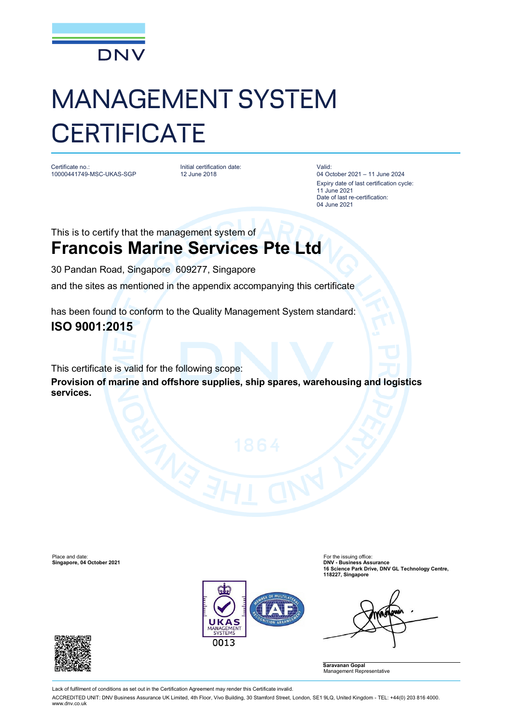

## MANAGEMENT SYSTEM **CERTIFICATE**

Certificate no.: 10000441749-MSC-UKAS-SGP Initial certification date: 12 June 2018

Valid: 04 October 2021 – 11 June 2024 Expiry date of last certification cycle: 11 June 2021 Date of last re-certification: 04 June 2021

This is to certify that the management system of **Francois Marine Services Pte Ltd**

30 Pandan Road, Singapore 609277, Singapore

and the sites as mentioned in the appendix accompanying this certificate

has been found to conform to the Quality Management System standard:

## **ISO 9001:2015**

This certificate is valid for the following scope:

**Provision of marine and offshore supplies, ship spares, warehousing and logistics services.**





**Saravanan Gopal** Management Representative



Lack of fulfilment of conditions as set out in the Certification Agreement may render this Certificate invalid.

ACCREDITED UNIT: DNV Business Assurance UK Limited, 4th Floor, Vivo Building, 30 Stamford Street, London, SE1 9LQ, United Kingdom - TEL: +44(0) 203 816 4000. [www.dnv.co.uk](http://www.dnv.co.uk)